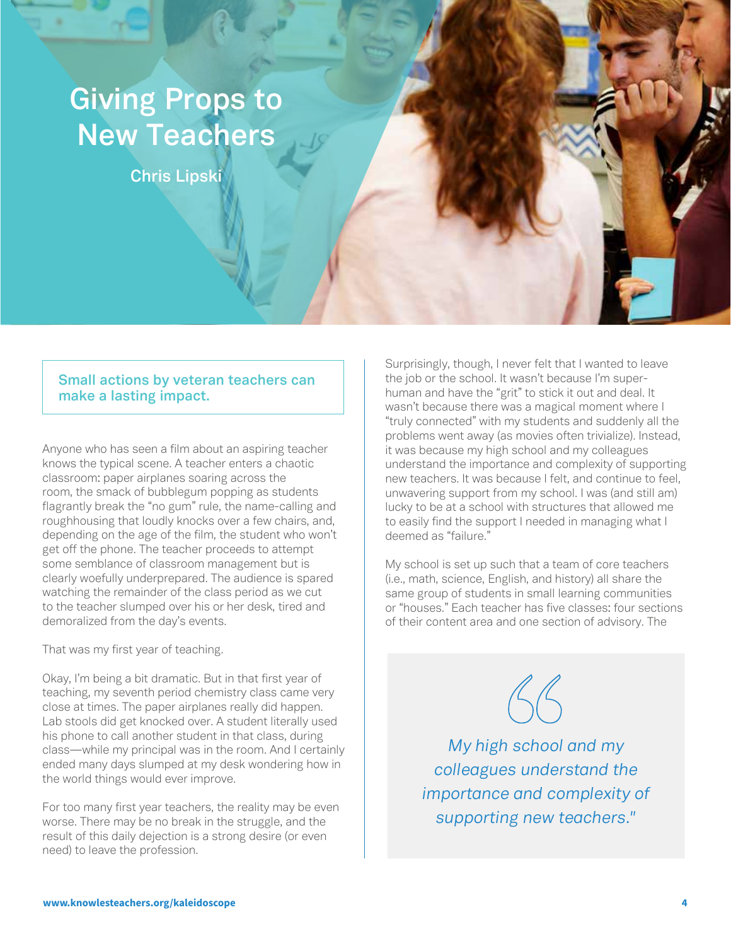## **Giving Props to New Teachers**

**Chris Lipski**

## **Small actions by veteran teachers can make a lasting impact.**

Anyone who has seen a film about an aspiring teacher knows the typical scene. A teacher enters a chaotic classroom: paper airplanes soaring across the room, the smack of bubblegum popping as students flagrantly break the "no gum" rule, the name-calling and roughhousing that loudly knocks over a few chairs, and, depending on the age of the film, the student who won't get off the phone. The teacher proceeds to attempt some semblance of classroom management but is clearly woefully underprepared. The audience is spared watching the remainder of the class period as we cut to the teacher slumped over his or her desk, tired and demoralized from the day's events.

That was my first year of teaching.

Okay, I'm being a bit dramatic. But in that first year of teaching, my seventh period chemistry class came very close at times. The paper airplanes really did happen. Lab stools did get knocked over. A student literally used his phone to call another student in that class, during class—while my principal was in the room. And I certainly ended many days slumped at my desk wondering how in the world things would ever improve.

For too many first year teachers, the reality may be even worse. There may be no break in the struggle, and the result of this daily dejection is a strong desire (or even need) to leave the profession.

Surprisingly, though, I never felt that I wanted to leave the job or the school. It wasn't because I'm superhuman and have the "grit" to stick it out and deal. It wasn't because there was a magical moment where I "truly connected" with my students and suddenly all the problems went away (as movies often trivialize). Instead, it was because my high school and my colleagues understand the importance and complexity of supporting new teachers. It was because I felt, and continue to feel, unwavering support from my school. I was (and still am) lucky to be at a school with structures that allowed me to easily find the support I needed in managing what I deemed as "failure."

My school is set up such that a team of core teachers (i.e., math, science, English, and history) all share the same group of students in small learning communities or "houses." Each teacher has five classes: four sections of their content area and one section of advisory. The

 $46$ 

*My high school and my colleagues understand the importance and complexity of supporting new teachers."*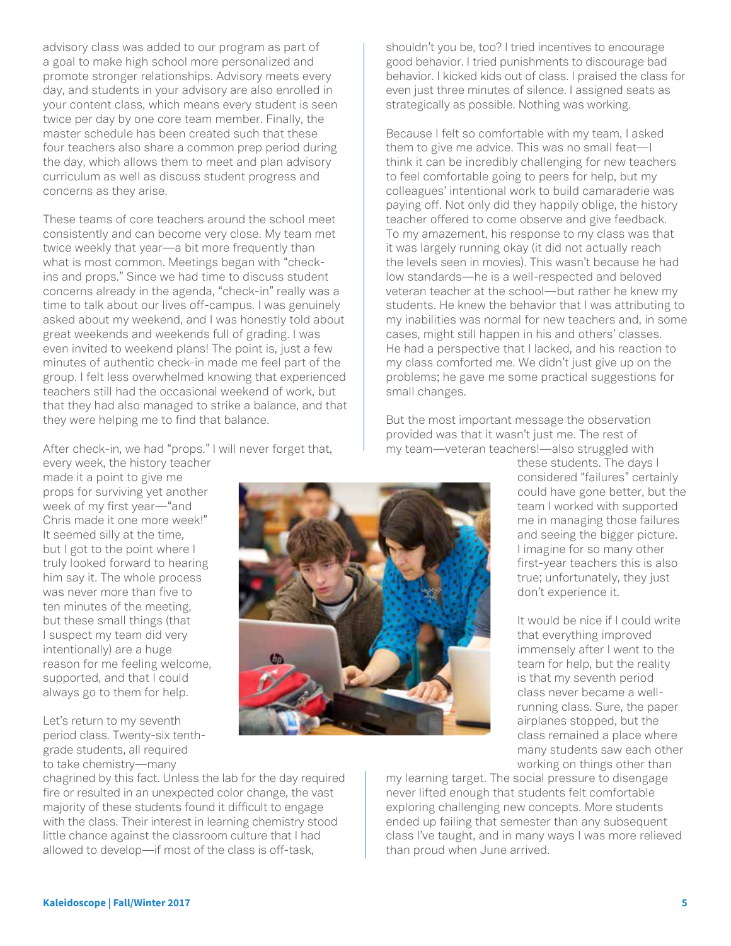advisory class was added to our program as part of a goal to make high school more personalized and promote stronger relationships. Advisory meets every day, and students in your advisory are also enrolled in your content class, which means every student is seen twice per day by one core team member. Finally, the master schedule has been created such that these four teachers also share a common prep period during the day, which allows them to meet and plan advisory curriculum as well as discuss student progress and concerns as they arise.

These teams of core teachers around the school meet consistently and can become very close. My team met twice weekly that year—a bit more frequently than what is most common. Meetings began with "checkins and props." Since we had time to discuss student concerns already in the agenda, "check-in" really was a time to talk about our lives off-campus. I was genuinely asked about my weekend, and I was honestly told about great weekends and weekends full of grading. I was even invited to weekend plans! The point is, just a few minutes of authentic check-in made me feel part of the group. I felt less overwhelmed knowing that experienced teachers still had the occasional weekend of work, but that they had also managed to strike a balance, and that they were helping me to find that balance.

After check-in, we had "props." I will never forget that,

every week, the history teacher made it a point to give me props for surviving yet another week of my first year—"and Chris made it one more week!" It seemed silly at the time, but I got to the point where I truly looked forward to hearing him say it. The whole process was never more than five to ten minutes of the meeting, but these small things (that I suspect my team did very intentionally) are a huge reason for me feeling welcome, supported, and that I could always go to them for help.

Let's return to my seventh period class. Twenty-six tenthgrade students, all required to take chemistry—many

chagrined by this fact. Unless the lab for the day required fire or resulted in an unexpected color change, the vast majority of these students found it difficult to engage with the class. Their interest in learning chemistry stood little chance against the classroom culture that I had allowed to develop—if most of the class is off-task,

shouldn't you be, too? I tried incentives to encourage good behavior. I tried punishments to discourage bad behavior. I kicked kids out of class. I praised the class for even just three minutes of silence. I assigned seats as strategically as possible. Nothing was working.

Because I felt so comfortable with my team, I asked them to give me advice. This was no small feat—I think it can be incredibly challenging for new teachers to feel comfortable going to peers for help, but my colleagues' intentional work to build camaraderie was paying off. Not only did they happily oblige, the history teacher offered to come observe and give feedback. To my amazement, his response to my class was that it was largely running okay (it did not actually reach the levels seen in movies). This wasn't because he had low standards—he is a well-respected and beloved veteran teacher at the school—but rather he knew my students. He knew the behavior that I was attributing to my inabilities was normal for new teachers and, in some cases, might still happen in his and others' classes. He had a perspective that I lacked, and his reaction to my class comforted me. We didn't just give up on the problems; he gave me some practical suggestions for small changes.

But the most important message the observation provided was that it wasn't just me. The rest of my team—veteran teachers!—also struggled with

> these students. The days I considered "failures" certainly could have gone better, but the team I worked with supported me in managing those failures and seeing the bigger picture. I imagine for so many other first-year teachers this is also true; unfortunately, they just don't experience it.

It would be nice if I could write that everything improved immensely after I went to the team for help, but the reality is that my seventh period class never became a wellrunning class. Sure, the paper airplanes stopped, but the class remained a place where many students saw each other working on things other than

my learning target. The social pressure to disengage never lifted enough that students felt comfortable exploring challenging new concepts. More students ended up failing that semester than any subsequent class I've taught, and in many ways I was more relieved than proud when June arrived.